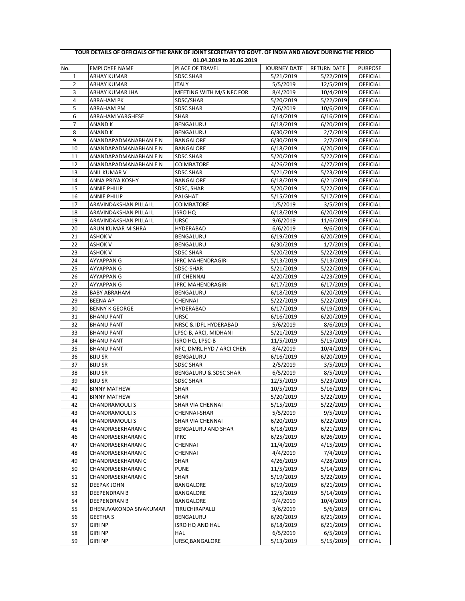| TOUR DETAILS OF OFFICIALS OF THE RANK OF JOINT SECRETARY TO GOVT. OF INDIA AND ABOVE DURING THE PERIOD |                         |                           |              |             |                 |
|--------------------------------------------------------------------------------------------------------|-------------------------|---------------------------|--------------|-------------|-----------------|
|                                                                                                        |                         | 01.04.2019 to 30.06.2019  |              |             |                 |
| No.                                                                                                    | <b>EMPLOYEE NAME</b>    | PLACE OF TRAVEL           | JOURNEY DATE | RETURN DATE | <b>PURPOSE</b>  |
| 1                                                                                                      | ABHAY KUMAR             | <b>SDSC SHAR</b>          | 5/21/2019    | 5/22/2019   | OFFICIAL        |
| 2                                                                                                      | ABHAY KUMAR             | ITALY                     | 5/5/2019     | 12/5/2019   | OFFICIAL        |
| 3                                                                                                      | ABHAY KUMAR JHA         | MEETING WITH M/S NFC FOR  | 8/4/2019     | 10/4/2019   | OFFICIAL        |
| 4                                                                                                      | <b>ABRAHAM PK</b>       | SDSC/SHAR                 | 5/20/2019    | 5/22/2019   | <b>OFFICIAL</b> |
| 5                                                                                                      | ABRAHAM PM              | <b>SDSC SHAR</b>          | 7/6/2019     | 10/6/2019   | OFFICIAL        |
| 6                                                                                                      | <b>ABRAHAM VARGHESE</b> | <b>SHAR</b>               | 6/14/2019    | 6/16/2019   | OFFICIAL        |
| 7                                                                                                      | <b>ANAND K</b>          | BENGALURU                 | 6/18/2019    | 6/20/2019   | OFFICIAL        |
| 8                                                                                                      | <b>ANAND K</b>          | BENGALURU                 | 6/30/2019    | 2/7/2019    | <b>OFFICIAL</b> |
| 9                                                                                                      | ANANDAPADMANABHAN E N   | BANGALORE                 | 6/30/2019    | 2/7/2019    | OFFICIAL        |
| 10                                                                                                     | ANANDAPADMANABHAN E N   | BANGALORE                 | 6/18/2019    | 6/20/2019   | OFFICIAL        |
| 11                                                                                                     | ANANDAPADMANABHAN E N   | <b>SDSC SHAR</b>          | 5/20/2019    | 5/22/2019   | OFFICIAL        |
| 12                                                                                                     | ANANDAPADMANABHAN E N   | COIMBATORE                | 4/26/2019    | 4/27/2019   | OFFICIAL        |
| 13                                                                                                     | ANIL KUMAR V            | SDSC SHAR                 | 5/21/2019    | 5/23/2019   | OFFICIAL        |
| 14                                                                                                     | ANNA PRIYA KOSHY        | BANGALORE                 | 6/18/2019    | 6/21/2019   | OFFICIAL        |
| 15                                                                                                     | <b>ANNIE PHILIP</b>     | SDSC, SHAR                | 5/20/2019    | 5/22/2019   | OFFICIAL        |
| 16                                                                                                     | <b>ANNIE PHILIP</b>     | PALGHAT                   | 5/15/2019    | 5/17/2019   | OFFICIAL        |
| 17                                                                                                     | ARAVINDAKSHAN PILLAI L  | COIMBATORE                | 1/5/2019     | 3/5/2019    | <b>OFFICIAL</b> |
| 18                                                                                                     | ARAVINDAKSHAN PILLAI L  | <b>ISRO HQ</b>            | 6/18/2019    | 6/20/2019   | OFFICIAL        |
| 19                                                                                                     | ARAVINDAKSHAN PILLAI L  | <b>URSC</b>               | 9/6/2019     | 11/6/2019   | OFFICIAL        |
| 20                                                                                                     | ARUN KUMAR MISHRA       | HYDERABAD                 | 6/6/2019     | 9/6/2019    | OFFICIAL        |
| 21                                                                                                     | <b>ASHOK V</b>          | BENGALURU                 | 6/19/2019    | 6/20/2019   | OFFICIAL        |
| 22                                                                                                     | <b>ASHOK V</b>          | BENGALURU                 | 6/30/2019    | 1/7/2019    | OFFICIAL        |
| 23                                                                                                     | <b>ASHOK V</b>          | <b>SDSC SHAR</b>          | 5/20/2019    | 5/22/2019   | OFFICIAL        |
| 24                                                                                                     | AYYAPPAN G              | <b>IPRC MAHENDRAGIRI</b>  | 5/13/2019    | 5/13/2019   | OFFICIAL        |
| 25                                                                                                     | AYYAPPAN G              | SDSC-SHAR                 | 5/21/2019    | 5/22/2019   | OFFICIAL        |
| 26                                                                                                     | AYYAPPAN G              | <b>IIT CHENNAI</b>        | 4/20/2019    | 4/23/2019   | OFFICIAL        |
| 27                                                                                                     | AYYAPPAN G              | <b>IPRC MAHENDRAGIRI</b>  | 6/17/2019    | 6/17/2019   | OFFICIAL        |
| 28                                                                                                     | <b>BABY ABRAHAM</b>     | BENGALURU                 | 6/18/2019    | 6/20/2019   | OFFICIAL        |
| 29                                                                                                     | <b>BEENA AP</b>         | CHENNAI                   | 5/22/2019    | 5/22/2019   | <b>OFFICIAL</b> |
| 30                                                                                                     | <b>BENNY K GEORGE</b>   | HYDERABAD                 | 6/17/2019    | 6/19/2019   | OFFICIAL        |
| 31                                                                                                     | <b>BHANU PANT</b>       | <b>URSC</b>               | 6/16/2019    | 6/20/2019   | OFFICIAL        |
| 32                                                                                                     | <b>BHANU PANT</b>       | NRSC & IDFL HYDERABAD     | 5/6/2019     | 8/6/2019    | <b>OFFICIAL</b> |
| 33                                                                                                     | <b>BHANU PANT</b>       | LPSC-B, ARCI, MIDHANI     | 5/21/2019    | 5/23/2019   | OFFICIAL        |
| 34                                                                                                     | <b>BHANU PANT</b>       | ISRO HQ, LPSC-B           | 11/5/2019    | 5/15/2019   | <b>OFFICIAL</b> |
| 35                                                                                                     | <b>BHANU PANT</b>       | NFC, DMRL HYD / ARCI CHEN | 8/4/2019     | 10/4/2019   | OFFICIAL        |
| 36                                                                                                     | <b>BIJU SR</b>          | BENGALURU                 | 6/16/2019    | 6/20/2019   | OFFICIAL        |
| 37                                                                                                     | <b>BIJU SR</b>          | <b>SDSC SHAR</b>          | 2/5/2019     | 3/5/2019    | OFFICIAL        |
| 38                                                                                                     | <b>BIJU SR</b>          | BENGALURU & SDSC SHAR     | 6/5/2019     | 8/5/2019    | <b>OFFICIAL</b> |
| 39                                                                                                     | <b>BIJU SR</b>          | <b>SDSC SHAR</b>          | 12/5/2019    | 5/23/2019   | <b>OFFICIAL</b> |
| 40                                                                                                     | <b>BINNY MATHEW</b>     | SHAR                      | 10/5/2019    | 5/16/2019   | OFFICIAL        |
| 41                                                                                                     | <b>BINNY MATHEW</b>     | SHAR                      | 5/20/2019    | 5/22/2019   | <b>OFFICIAL</b> |
| 42                                                                                                     | CHANDRAMOULI S          | SHAR VIA CHENNAI          | 5/15/2019    | 5/22/2019   | <b>OFFICIAL</b> |
| 43                                                                                                     | CHANDRAMOULI S          | CHENNAI-SHAR              | 5/5/2019     | 9/5/2019    | OFFICIAL        |
| 44                                                                                                     | <b>CHANDRAMOULIS</b>    | SHAR VIA CHENNAI          | 6/20/2019    | 6/22/2019   | <b>OFFICIAL</b> |
| 45                                                                                                     | CHANDRASEKHARAN C       | BENGALURU AND SHAR        | 6/18/2019    | 6/21/2019   | OFFICIAL        |
| 46                                                                                                     | CHANDRASEKHARAN C       | <b>IPRC</b>               | 6/25/2019    | 6/26/2019   | OFFICIAL        |
| 47                                                                                                     | CHANDRASEKHARAN C       | CHENNAI                   | 11/4/2019    | 4/15/2019   | OFFICIAL        |
| 48                                                                                                     | CHANDRASEKHARAN C       | CHENNAI                   | 4/4/2019     | 7/4/2019    | <b>OFFICIAL</b> |
| 49                                                                                                     | CHANDRASEKHARAN C       | SHAR                      | 4/26/2019    | 4/28/2019   | OFFICIAL        |
| 50                                                                                                     | CHANDRASEKHARAN C       | <b>PUNE</b>               | 11/5/2019    | 5/14/2019   | <b>OFFICIAL</b> |
| 51                                                                                                     | CHANDRASEKHARAN C       | SHAR                      | 5/19/2019    | 5/22/2019   | OFFICIAL        |
| 52                                                                                                     | DEEPAK JOHN             | BANGALORE                 | 6/19/2019    | 6/21/2019   | <b>OFFICIAL</b> |
| 53                                                                                                     | DEEPENDRAN B            | BANGALORE                 | 12/5/2019    | 5/14/2019   | OFFICIAL        |
| 54                                                                                                     | DEEPENDRAN B            | BANGALORE                 | 9/4/2019     | 10/4/2019   | OFFICIAL        |
| 55                                                                                                     | DHENUVAKONDA SIVAKUMAR  | TIRUCHIRAPALLI            | 3/6/2019     | 5/6/2019    | OFFICIAL        |
| 56                                                                                                     | <b>GEETHA S</b>         | BENGALURU                 | 6/20/2019    | 6/21/2019   | <b>OFFICIAL</b> |
| 57                                                                                                     | <b>GIRI NP</b>          | <b>ISRO HQ AND HAL</b>    | 6/18/2019    | 6/21/2019   | OFFICIAL        |
| 58                                                                                                     | GIRI NP                 | HAL                       | 6/5/2019     | 6/5/2019    | OFFICIAL        |
| 59                                                                                                     | GIRI NP                 | URSC, BANGALORE           | 5/13/2019    | 5/15/2019   | OFFICIAL        |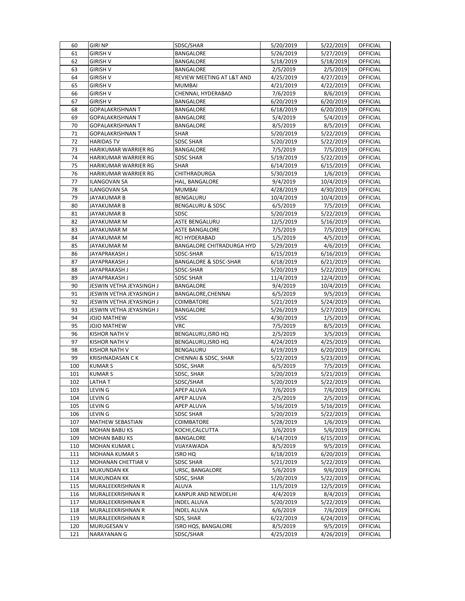| 60  | <b>GIRI NP</b>           | SDSC/SHAR                        | 5/20/2019 | 5/22/2019              | <b>OFFICIAL</b> |
|-----|--------------------------|----------------------------------|-----------|------------------------|-----------------|
| 61  | GIRISH V                 | <b>BANGALORE</b>                 | 5/26/2019 | 5/27/2019              | OFFICIAL        |
| 62  | <b>GIRISH V</b>          | BANGALORE                        | 5/18/2019 | 5/18/2019              | OFFICIAL        |
| 63  | GIRISH V                 | BANGALORE                        | 2/5/2019  | 2/5/2019               | OFFICIAL        |
| 64  | <b>GIRISH V</b>          | REVIEW MEETING AT L&T AND        | 4/25/2019 | 4/27/2019              | OFFICIAL        |
| 65  | <b>GIRISH V</b>          | <b>MUMBAI</b>                    | 4/21/2019 | 4/22/2019              | OFFICIAL        |
| 66  | <b>GIRISH V</b>          | CHENNAI, HYDERABAD               | 7/6/2019  | 8/6/2019               | OFFICIAL        |
| 67  | <b>GIRISH V</b>          | BANGALORE                        | 6/20/2019 | 6/20/2019              | OFFICIAL        |
| 68  | <b>GOPALAKRISHNAN T</b>  | BANGALORE                        | 6/18/2019 | 6/20/2019              | OFFICIAL        |
| 69  | <b>GOPALAKRISHNAN T</b>  | BANGALORE                        | 5/4/2019  | 5/4/2019               | OFFICIAL        |
| 70  | <b>GOPALAKRISHNAN T</b>  | <b>BANGALORE</b>                 | 8/5/2019  | 8/5/2019               | OFFICIAL        |
| 71  | <b>GOPALAKRISHNAN T</b>  | SHAR                             | 5/20/2019 | 5/22/2019              | <b>OFFICIAL</b> |
| 72  | HARIDAS TV               | SDSC SHAR                        | 5/20/2019 | 5/22/2019              | OFFICIAL        |
| 73  | HARIKUMAR WARRIER RG     | BANGALORE                        | 7/5/2019  | 7/5/2019               | OFFICIAL        |
| 74  | HARIKUMAR WARRIER RG     | <b>SDSC SHAR</b>                 | 5/19/2019 | 5/22/2019              | OFFICIAL        |
| 75  | HARIKUMAR WARRIER RG     | SHAR                             | 6/14/2019 | 6/15/2019              | OFFICIAL        |
| 76  | HARIKUMAR WARRIER RG     | CHITHRADURGA                     | 5/30/2019 | 1/6/2019               | OFFICIAL        |
| 77  | ILANGOVAN SA             | HAL, BANGALORE                   | 9/4/2019  | 10/4/2019              | OFFICIAL        |
| 78  | <b>ILANGOVAN SA</b>      | <b>MUMBAI</b>                    | 4/28/2019 | 4/30/2019              | OFFICIAL        |
| 79  | JAYAKUMAR B              | BENGALURU                        | 10/4/2019 | 10/4/2019              | OFFICIAL        |
| 80  | JAYAKUMAR B              | BENGALURU & SDSC                 | 6/5/2019  | 7/5/2019               | OFFICIAL        |
| 81  | JAYAKUMAR B              | SDSC                             | 5/20/2019 | 5/22/2019              | OFFICIAL        |
| 82  | JAYAKUMAR M              | ASTE BENGALURU                   | 12/5/2019 | 5/16/2019              | OFFICIAL        |
| 83  | JAYAKUMAR M              | <b>ASTE BANGALORE</b>            | 7/5/2019  | 7/5/2019               | OFFICIAL        |
| 84  | JAYAKUMAR M              | RCI HYDERABAD                    | 1/5/2019  | 4/5/2019               | OFFICIAL        |
| 85  | JAYAKUMAR M              | BANGALORE CHITRADURGA HYD        | 5/29/2019 | 4/6/2019               | OFFICIAL        |
| 86  | JAYAPRAKASH J            | SDSC-SHAR                        | 6/15/2019 | 6/16/2019              | OFFICIAL        |
| 87  | JAYAPRAKASH J            | <b>BANGALORE &amp; SDSC-SHAR</b> | 6/18/2019 | 6/21/2019              | OFFICIAL        |
| 88  | JAYAPRAKASH J            | SDSC-SHAR                        | 5/20/2019 | 5/22/2019              | OFFICIAL        |
| 89  | JAYAPRAKASH J            | <b>SDSC SHAR</b>                 | 11/4/2019 | 12/4/2019              | OFFICIAL        |
| 90  | JESWIN VETHA JEYASINGH J | BANGALORE                        | 9/4/2019  | 10/4/2019              | OFFICIAL        |
| 91  | JESWIN VETHA JEYASINGH J | BANGALORE, CHENNAI               | 6/5/2019  | 9/5/2019               | OFFICIAL        |
| 92  | JESWIN VETHA JEYASINGH J | COIMBATORE                       | 5/21/2019 | 5/24/2019              | OFFICIAL        |
| 93  | JESWIN VETHA JEYASINGH J | BANGALORE                        | 5/26/2019 | 5/27/2019              | OFFICIAL        |
| 94  | JOJO MATHEW              | VSSC                             | 4/30/2019 | 1/5/2019               | OFFICIAL        |
| 95  | JOJO MATHEW              | <b>VRC</b>                       | 7/5/2019  | 8/5/2019               | OFFICIAL        |
| 96  | <b>KISHOR NATH V</b>     | BENGALURU, ISRO HQ               | 2/5/2019  | 3/5/2019               | <b>OFFICIAL</b> |
| 97  | KISHOR NATH V            | BENGALURU, ISRO HQ               | 4/24/2019 | 4/25/2019              | OFFICIAL        |
| 98  | KISHOR NATH V            | BENGALURU                        | 6/19/2019 | 6/20/2019              | OFFICIAL        |
| 99  | <b>KRISHNADASAN CK</b>   | CHENNAI & SDSC, SHAR             | 5/22/2019 | $\overline{5}/23/2019$ | OFFICIAL        |
| 100 | <b>KUMARS</b>            | SDSC, SHAR                       | 6/5/2019  | 7/5/2019               | OFFICIAL        |
| 101 | <b>KUMARS</b>            | SDSC, SHAR                       | 5/20/2019 | 5/21/2019              | OFFICIAL        |
| 102 | LATHA T                  | SDSC/SHAR                        | 5/20/2019 | 5/22/2019              | <b>OFFICIAL</b> |
| 103 | LEVIN G                  | APEP ALUVA                       | 7/6/2019  | 7/6/2019               | OFFICIAL        |
| 104 | LEVIN G                  | APEP ALUVA                       | 2/5/2019  | 2/5/2019               | OFFICIAL        |
| 105 | LEVIN G                  | APEP ALUVA                       | 5/16/2019 | 5/16/2019              | OFFICIAL        |
| 106 | LEVIN G                  | SDSC SHAR                        | 5/20/2019 | 5/22/2019              | OFFICIAL        |
| 107 | MATHEW SEBASTIAN         | COIMBATORE                       | 5/28/2019 | 1/6/2019               | OFFICIAL        |
| 108 | MOHAN BABU KS            | KOCHI,CALCUTTA                   | 3/6/2019  | 5/6/2019               | OFFICIAL        |
| 109 | <b>MOHAN BABU KS</b>     | BANGALORE                        | 6/14/2019 | 6/15/2019              | OFFICIAL        |
| 110 | <b>MOHAN KUMAR L</b>     | VIJAYAWADA                       | 8/5/2019  | 9/5/2019               | OFFICIAL        |
| 111 | <b>MOHANA KUMAR S</b>    | ISRO HQ                          | 6/18/2019 | 6/20/2019              | OFFICIAL        |
| 112 | MOHANAN CHETTIAR V       | <b>SDSC SHAR</b>                 | 5/21/2019 | 5/22/2019              | OFFICIAL        |
| 113 | <b>MUKUNDAN KK</b>       | URSC, BANGALORE                  | 5/6/2019  | 9/6/2019               | OFFICIAL        |
| 114 | MUKUNDAN KK              | SDSC, SHAR                       | 5/20/2019 | 5/22/2019              | OFFICIAL        |
| 115 | MURALEEKRISHNAN R        | ALUVA                            | 11/5/2019 | 12/5/2019              | OFFICIAL        |
| 116 | MURALEEKRISHNAN R        | KANPUR AND NEWDELHI              | 4/4/2019  | 8/4/2019               | OFFICIAL        |
| 117 | MURALEEKRISHNAN R        | INDEL ALUVA                      | 5/20/2019 | 5/22/2019              | OFFICIAL        |
| 118 | MURALEEKRISHNAN R        | INDEL ALUVA                      | 6/6/2019  | 7/6/2019               | OFFICIAL        |
| 119 | MURALEEKRISHNAN R        | SDS, SHAR                        | 6/22/2019 | 6/24/2019              | OFFICIAL        |
| 120 | MURUGESAN V              | <b>ISRO HQS, BANGALORE</b>       | 8/5/2019  | 9/5/2019               | OFFICIAL        |
| 121 | NARAYANAN G              | SDSC/SHAR                        | 4/25/2019 | 4/26/2019              | OFFICIAL        |
|     |                          |                                  |           |                        |                 |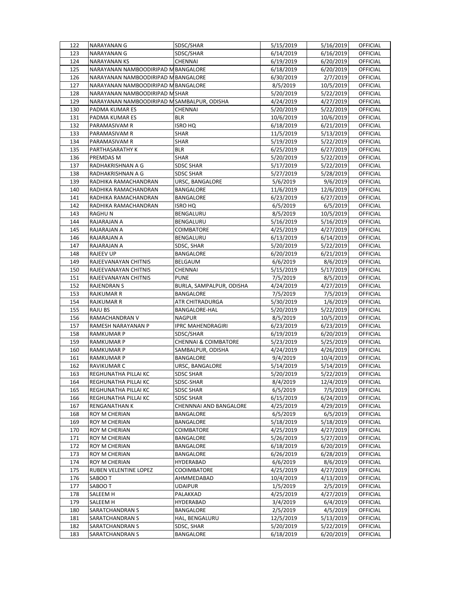| 122 | NARAYANAN G                                | SDSC/SHAR                       | 5/15/2019 | 5/16/2019             | <b>OFFICIAL</b> |
|-----|--------------------------------------------|---------------------------------|-----------|-----------------------|-----------------|
| 123 | NARAYANAN G                                | SDSC/SHAR                       | 6/14/2019 | 6/16/2019             | <b>OFFICIAL</b> |
| 124 | <b>NARAYANAN KS</b>                        | CHENNAI                         | 6/19/2019 | 6/20/2019             | OFFICIAL        |
| 125 | NARAYANAN NAMBOODIRIPAD M BANGALORE        |                                 | 6/18/2019 | 6/20/2019             | OFFICIAL        |
| 126 | NARAYANAN NAMBOODIRIPAD M BANGALORE        |                                 | 6/30/2019 | 2/7/2019              | OFFICIAL        |
| 127 | NARAYANAN NAMBOODIRIPAD M BANGALORE        |                                 | 8/5/2019  | 10/5/2019             | OFFICIAL        |
| 128 | NARAYANAN NAMBOODIRIPAD MSHAR              |                                 | 5/20/2019 | 5/22/2019             | OFFICIAL        |
| 129 | NARAYANAN NAMBOODIRIPAD MSAMBALPUR, ODISHA |                                 | 4/24/2019 | 4/27/2019             | OFFICIAL        |
| 130 | PADMA KUMAR ES                             | CHENNAI                         | 5/20/2019 | 5/22/2019             | <b>OFFICIAL</b> |
| 131 | PADMA KUMAR ES                             | <b>BLR</b>                      | 10/6/2019 | 10/6/2019             | OFFICIAL        |
| 132 | PARAMASIVAM R                              | <b>ISRO HQ</b>                  | 6/18/2019 | 6/21/2019             | OFFICIAL        |
| 133 | PARAMASIVAM R                              | SHAR                            | 11/5/2019 | 5/13/2019             | OFFICIAL        |
| 134 | PARAMASIVAM R                              | SHAR                            | 5/19/2019 | 5/22/2019             | OFFICIAL        |
| 135 | PARTHASARATHY K                            | <b>BLR</b>                      | 6/25/2019 | 6/27/2019             | OFFICIAL        |
| 136 | PREMDAS M                                  | <b>SHAR</b>                     | 5/20/2019 | $\frac{1}{5}/22/2019$ | OFFICIAL        |
| 137 | RADHAKRISHNAN A G                          | <b>SDSC SHAR</b>                | 5/17/2019 | 5/22/2019             | OFFICIAL        |
| 138 | RADHAKRISHNAN A G                          | <b>SDSC SHAR</b>                | 5/27/2019 | 5/28/2019             | OFFICIAL        |
| 139 | RADHIKA RAMACHANDRAN                       | URSC, BANGALORE                 | 5/6/2019  | 9/6/2019              | OFFICIAL        |
| 140 | RADHIKA RAMACHANDRAN                       | <b>BANGALORE</b>                | 11/6/2019 | 12/6/2019             | OFFICIAL        |
| 141 | RADHIKA RAMACHANDRAN                       | BANGALORE                       | 6/23/2019 | 6/27/2019             | OFFICIAL        |
| 142 | RADHIKA RAMACHANDRAN                       | ISRO HQ                         | 6/5/2019  | 6/5/2019              | OFFICIAL        |
| 143 | RAGHU N                                    | BENGALURU                       | 8/5/2019  | 10/5/2019             | <b>OFFICIAL</b> |
| 144 | RAJARAJAN A                                | BENGALURU                       | 5/16/2019 | 5/16/2019             | <b>OFFICIAL</b> |
| 145 | RAJARAJAN A                                | <b>COIMBATORE</b>               | 4/25/2019 | 4/27/2019             | OFFICIAL        |
| 146 | RAJARAJAN A                                | BENGALURU                       | 6/13/2019 | 6/14/2019             | <b>OFFICIAL</b> |
| 147 | RAJARAJAN A                                | SDSC, SHAR                      | 5/20/2019 | 5/22/2019             | <b>OFFICIAL</b> |
| 148 | RAJEEV UP                                  | <b>BANGALORE</b>                | 6/20/2019 | 6/21/2019             | OFFICIAL        |
| 149 | RAJEEVANAYAN CHITNIS                       | BELGAUM                         | 6/6/2019  | 8/6/2019              | OFFICIAL        |
| 150 | RAJEEVANAYAN CHITNIS                       | CHENNAI                         | 5/15/2019 | 5/17/2019             | <b>OFFICIAL</b> |
| 151 | RAJEEVANAYAN CHITNIS                       | <b>PUNE</b>                     | 7/5/2019  | 8/5/2019              | OFFICIAL        |
| 152 | RAJENDRAN S                                | BURLA, SAMPALPUR, ODISHA        | 4/24/2019 | 4/27/2019             | OFFICIAL        |
| 153 | RAJKUMAR R                                 | BANGALORE                       | 7/5/2019  | 7/5/2019              | OFFICIAL        |
| 154 | RAJKUMAR R                                 | ATR CHITRADURGA                 | 5/30/2019 | 1/6/2019              | <b>OFFICIAL</b> |
| 155 | RAJU BS                                    | BANGALORE-HAL                   | 5/20/2019 | 5/22/2019             | <b>OFFICIAL</b> |
| 156 | RAMACHANDRAN V                             | <b>NAGPUR</b>                   | 8/5/2019  | 10/5/2019             | OFFICIAL        |
| 157 | RAMESH NARAYANAN P                         | <b>IPRC MAHENDRAGIRI</b>        | 6/23/2019 | 6/23/2019             | OFFICIAL        |
| 158 | RAMKUMAR P                                 | SDSC/SHAR                       | 6/19/2019 | 6/20/2019             | OFFICIAL        |
| 159 | RAMKUMAR P                                 | <b>CHENNAI &amp; COIMBATORE</b> | 5/23/2019 | 5/25/2019             | <b>OFFICIAL</b> |
| 160 | RAMKUMAR P                                 | SAMBALPUR, ODISHA               | 4/24/2019 | 4/26/2019             | OFFICIAL        |
| 161 | <b>RAMKUMAR P</b>                          | BANGALORE                       | 9/4/2019  | 10/4/2019             | OFFICIAL        |
| 162 | RAVIKUMAR C                                | URSC, BANGALORE                 | 5/14/2019 | 5/14/2019             | OFFICIAL        |
| 163 | REGHUNATHA PILLAI KC                       | <b>SDSC SHAR</b>                | 5/20/2019 | 5/22/2019             | OFFICIAL        |
| 164 | REGHUNATHA PILLAI KC                       | SDSC-SHAR                       | 8/4/2019  | 12/4/2019             | OFFICIAL        |
| 165 | REGHUNATHA PILLAI KC                       | SDSC SHAR                       | 6/5/2019  | 7/5/2019              | <b>OFFICIAL</b> |
| 166 | REGHUNATHA PILLAI KC                       | SDSC SHAR                       | 6/15/2019 | 6/24/2019             | <b>OFFICIAL</b> |
| 167 | RENGANATHAN K                              | CHENNNAI AND BANGALORE          | 4/25/2019 | 4/29/2019             | OFFICIAL        |
| 168 | ROY M CHERIAN                              | BANGALORE                       | 6/5/2019  | 6/5/2019              | OFFICIAL        |
| 169 | ROY M CHERIAN                              | BANGALORE                       | 5/18/2019 | 5/18/2019             | <b>OFFICIAL</b> |
| 170 | ROY M CHERIAN                              | COIMBATORE                      | 4/25/2019 | 4/27/2019             | OFFICIAL        |
| 171 | ROY M CHERIAN                              | BANGALORE                       | 5/26/2019 | 5/27/2019             | <b>OFFICIAL</b> |
| 172 | ROY M CHERIAN                              | BANGALORE                       | 6/18/2019 | 6/20/2019             | <b>OFFICIAL</b> |
| 173 | ROY M CHERIAN                              | BANGALORE                       | 6/26/2019 | 6/28/2019             | <b>OFFICIAL</b> |
| 174 | ROY M CHERIAN                              | HYDERABAD                       | 6/6/2019  | 8/6/2019              | OFFICIAL        |
| 175 | RUBEN VELENTINE LOPEZ                      | <b>COOIMBATORE</b>              | 4/25/2019 | 4/27/2019             | OFFICIAL        |
| 176 | SABOOT                                     | AHMMEDABAD                      | 10/4/2019 | 4/13/2019             | OFFICIAL        |
| 177 | SABOO T                                    | <b>UDAIPUR</b>                  | 1/5/2019  | 2/5/2019              | OFFICIAL        |
| 178 | SALEEM H                                   | PALAKKAD                        | 4/25/2019 | 4/27/2019             | <b>OFFICIAL</b> |
| 179 | SALEEM H                                   | HYDERABAD                       | 3/4/2019  | 6/4/2019              | <b>OFFICIAL</b> |
| 180 | SARATCHANDRAN S                            | BANGALORE                       | 2/5/2019  | 4/5/2019              | OFFICIAL        |
| 181 | SARATCHANDRAN S                            | HAL, BENGALURU                  | 12/5/2019 | 5/13/2019             | <b>OFFICIAL</b> |
| 182 | SARATCHANDRAN S                            | SDSC, SHAR                      | 5/20/2019 | 5/22/2019             | OFFICIAL        |
|     |                                            | BANGALORE                       | 6/18/2019 | 6/20/2019             | OFFICIAL        |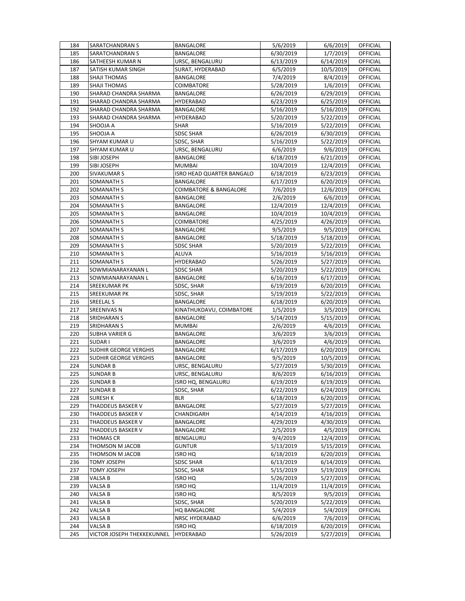| 184 | SARATCHANDRAN S                 | BANGALORE                         | 5/6/2019  | 6/6/2019              | OFFICIAL             |
|-----|---------------------------------|-----------------------------------|-----------|-----------------------|----------------------|
| 185 | SARATCHANDRAN S                 | <b>BANGALORE</b>                  | 6/30/2019 | 1/7/2019              | <b>OFFICIAL</b>      |
| 186 | SATHEESH KUMAR N                | URSC, BENGALURU                   | 6/13/2019 | 6/14/2019             | OFFICIAL             |
| 187 | SATISH KUMAR SINGH              | SURAT, HYDERABAD                  | 6/5/2019  | 10/5/2019             | <b>OFFICIAL</b>      |
| 188 | SHAJI THOMAS                    | BANGALORE                         | 7/4/2019  | 8/4/2019              | OFFICIAL             |
| 189 | SHAJI THOMAS                    | <b>COIMBATORE</b>                 | 5/28/2019 | 1/6/2019              | OFFICIAL             |
| 190 | SHARAD CHANDRA SHARMA           | BANGALORE                         | 6/26/2019 | 6/29/2019             | OFFICIAL             |
| 191 | SHARAD CHANDRA SHARMA           | HYDERABAD                         | 6/23/2019 | 6/25/2019             | OFFICIAL             |
| 192 | SHARAD CHANDRA SHARMA           | BANGALORE                         | 5/16/2019 | 5/16/2019             | OFFICIAL             |
| 193 | SHARAD CHANDRA SHARMA           | HYDERABAD                         | 5/20/2019 | 5/22/2019             | OFFICIAL             |
| 194 | SHOOJA A                        | SHAR                              | 5/16/2019 | $\frac{1}{5}/22/2019$ | OFFICIAL             |
| 195 | SHOOJA A                        | <b>SDSC SHAR</b>                  | 6/26/2019 | 6/30/2019             | OFFICIAL             |
| 196 | SHYAM KUMAR U                   | SDSC, SHAR                        | 5/16/2019 | 5/22/2019             | OFFICIAL             |
| 197 | SHYAM KUMAR U                   | URSC, BENGALURU                   | 6/6/2019  | 9/6/2019              | OFFICIAL             |
| 198 | SIBI JOSEPH                     | <b>BANGALORE</b>                  | 6/18/2019 | 6/21/2019             | <b>OFFICIAL</b>      |
| 199 | SIBI JOSEPH                     | <b>MUMBAI</b>                     | 10/4/2019 | 12/4/2019             | OFFICIAL             |
| 200 |                                 | ISRO HEAD QUARTER BANGALO         | 6/18/2019 | 6/23/2019             | OFFICIAL             |
| 201 | SIVAKUMAR S<br>SOMANATH S       | BANGALORE                         |           |                       | OFFICIAL             |
|     |                                 |                                   | 6/17/2019 | 6/20/2019             |                      |
| 202 | SOMANATH S<br><b>SOMANATH S</b> | <b>COIMBATORE &amp; BANGALORE</b> | 7/6/2019  | 12/6/2019             | OFFICIAL             |
| 203 |                                 | BANGALORE                         | 2/6/2019  | 6/6/2019              | OFFICIAL             |
| 204 | SOMANATH S<br><b>SOMANATH S</b> | BANGALORE                         | 12/4/2019 | 12/4/2019             | OFFICIAL<br>OFFICIAL |
| 205 |                                 | BANGALORE                         | 10/4/2019 | 10/4/2019             |                      |
| 206 | SOMANATH S                      | COIMBATORE                        | 4/25/2019 | 4/26/2019             | OFFICIAL             |
| 207 | <b>SOMANATH S</b>               | BANGALORE                         | 9/5/2019  | 9/5/2019              | OFFICIAL             |
| 208 | <b>SOMANATH S</b>               | BANGALORE                         | 5/18/2019 | 5/18/2019             | OFFICIAL             |
| 209 | SOMANATH S                      | <b>SDSC SHAR</b>                  | 5/20/2019 | 5/22/2019             | OFFICIAL             |
| 210 | <b>SOMANATH S</b>               | ALUVA                             | 5/16/2019 | 5/16/2019             | OFFICIAL             |
| 211 | SOMANATH S                      | HYDERABAD                         | 5/26/2019 | 5/27/2019             | OFFICIAL             |
| 212 | SOWMIANARAYANAN L               | <b>SDSC SHAR</b>                  | 5/20/2019 | 5/22/2019             | OFFICIAL             |
| 213 | SOWMIANARAYANAN L               | BANGALORE                         | 6/16/2019 | 6/17/2019             | OFFICIAL             |
| 214 | SREEKUMAR PK                    | SDSC, SHAR                        | 6/19/2019 | 6/20/2019             | OFFICIAL             |
| 215 | <b>SREEKUMAR PK</b>             | SDSC, SHAR                        | 5/19/2019 | 5/22/2019             | OFFICIAL             |
| 216 | SREELAL S                       | <b>BANGALORE</b>                  | 6/18/2019 | 6/20/2019             | OFFICIAL             |
| 217 | SREENIVAS N                     | KINATHUKDAVU, COIMBATORE          | 1/5/2019  | 3/5/2019              | OFFICIAL             |
| 218 | SRIDHARAN S                     | <b>BANGALORE</b>                  | 5/14/2019 | 5/15/2019             | OFFICIAL             |
| 219 | SRIDHARAN S                     | <b>MUMBAI</b>                     | 2/6/2019  | 4/6/2019              | OFFICIAL             |
| 220 | SUBHA VARIER G                  | BANGALORE                         | 3/6/2019  | 3/6/2019              | OFFICIAL             |
| 221 | SUDAR I                         | BANGALORE                         | 3/6/2019  | 4/6/2019              | OFFICIAL             |
| 222 | SUDHIR GEORGE VERGHIS           | BANGALORE                         | 6/17/2019 | 6/20/2019             | OFFICIAL             |
| 223 | SUDHIR GEORGE VERGHIS           | BANGALORE                         | 9/5/2019  | 10/5/2019             | <b>OFFICIAL</b>      |
| 224 | <b>SUNDAR B</b>                 | URSC, BENGALURU                   | 5/27/2019 | 5/30/2019             | OFFICIAL             |
| 225 | <b>SUNDAR B</b>                 | URSC, BENGALURU                   | 8/6/2019  | 6/16/2019             | <b>OFFICIAL</b>      |
| 226 | <b>SUNDAR B</b>                 | ISRO HQ, BENGALURU                | 6/19/2019 | 6/19/2019             | OFFICIAL             |
| 227 | <b>SUNDAR B</b>                 | SDSC, SHAR                        | 6/22/2019 | 6/24/2019             | <b>OFFICIAL</b>      |
| 228 | SURESH K                        | <b>BLR</b>                        | 6/18/2019 | 6/20/2019             | OFFICIAL             |
| 229 | THADDEUS BASKER V               | <b>BANGALORE</b>                  | 5/27/2019 | 5/27/2019             | OFFICIAL             |
| 230 | THADDEUS BASKER V               | CHANDIGARH                        | 4/14/2019 | 4/16/2019             | OFFICIAL             |
| 231 | THADDEUS BASKER V               | BANGALORE                         | 4/29/2019 | 4/30/2019             | OFFICIAL             |
| 232 | THADDEUS BASKER V               | BANGALORE                         | 2/5/2019  | 4/5/2019              | OFFICIAL             |
| 233 | THOMAS CR                       | BENGALURU                         | 9/4/2019  | 12/4/2019             | OFFICIAL             |
| 234 | THOMSON M JACOB                 | <b>GUNTUR</b>                     | 5/13/2019 | 5/15/2019             | OFFICIAL             |
| 235 | THOMSON M JACOB                 | <b>ISRO HQ</b>                    | 6/18/2019 | 6/20/2019             | <b>OFFICIAL</b>      |
| 236 | <b>TOMY JOSEPH</b>              | <b>SDSC SHAR</b>                  | 6/13/2019 | 6/14/2019             | OFFICIAL             |
| 237 | TOMY JOSEPH                     | SDSC, SHAR                        | 5/15/2019 | 5/19/2019             | <b>OFFICIAL</b>      |
| 238 | VALSA B                         | <b>ISRO HQ</b>                    | 5/26/2019 | 5/27/2019             | OFFICIAL             |
| 239 | VALSA B                         | <b>ISRO HQ</b>                    | 11/4/2019 | 11/4/2019             | OFFICIAL             |
| 240 | VALSA B                         | <b>ISRO HQ</b>                    | 8/5/2019  | 9/5/2019              | OFFICIAL             |
| 241 | VALSA B                         | SDSC, SHAR                        | 5/20/2019 | 5/22/2019             | OFFICIAL             |
| 242 | VALSA B                         | <b>HQ BANGALORE</b>               | 5/4/2019  | 5/4/2019              | OFFICIAL             |
| 243 | VALSA B                         | NRSC HYDERABAD                    | 6/6/2019  | 7/6/2019              | OFFICIAL             |
| 244 | VALSA B                         | <b>ISRO HQ</b>                    | 6/18/2019 | 6/20/2019             | OFFICIAL             |
| 245 | VICTOR JOSEPH THEKKEKUNNEL      | HYDERABAD                         | 5/26/2019 | 5/27/2019             | OFFICIAL             |